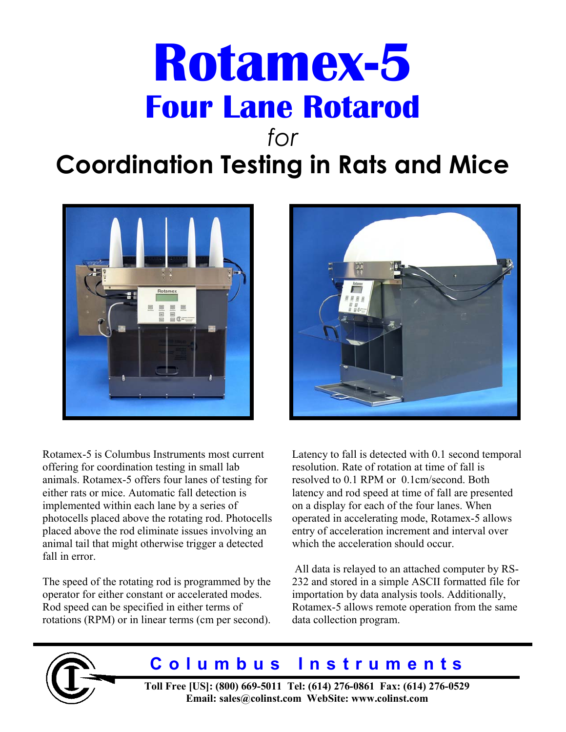# **Rotamex-5 Four Lane Rotarod**  *for*

# **Coordination Testing in Rats and Mice**



Rotamex-5 is Columbus Instruments most current offering for coordination testing in small lab animals. Rotamex-5 offers four lanes of testing for either rats or mice. Automatic fall detection is implemented within each lane by a series of photocells placed above the rotating rod. Photocells placed above the rod eliminate issues involving an animal tail that might otherwise trigger a detected fall in error

The speed of the rotating rod is programmed by the operator for either constant or accelerated modes. Rod speed can be specified in either terms of rotations (RPM) or in linear terms (cm per second).



Latency to fall is detected with 0.1 second temporal resolution. Rate of rotation at time of fall is resolved to 0.1 RPM or 0.1cm/second. Both latency and rod speed at time of fall are presented on a display for each of the four lanes. When operated in accelerating mode, Rotamex-5 allows entry of acceleration increment and interval over which the acceleration should occur.

 All data is relayed to an attached computer by RS-232 and stored in a simple ASCII formatted file for importation by data analysis tools. Additionally, Rotamex-5 allows remote operation from the same data collection program.



# **Columbus Instruments**

**Toll Free [US]: (800) 669-5011 Tel: (614) 276-0861 Fax: (614) 276-0529 Email: sales@colinst.com WebSite: www.colinst.com**